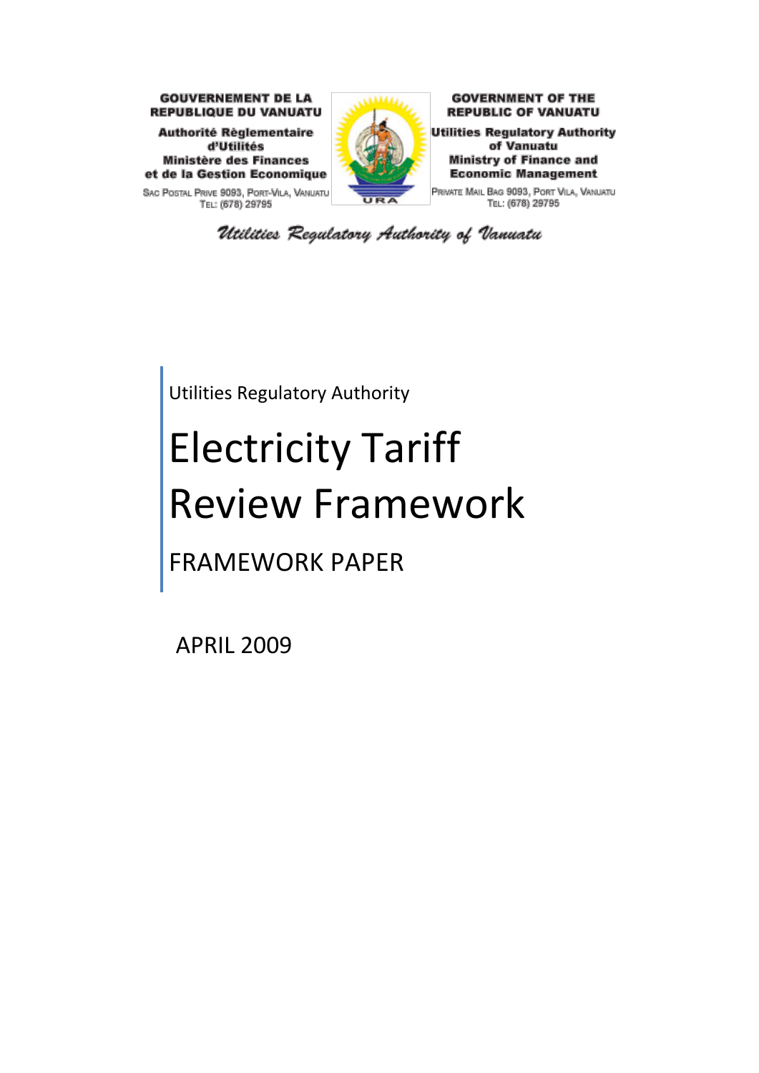

SAC POSTAL PRIVE 9093, PORT-VILA, VANUATU TEL: (678) 29795



**GOVERNMENT OF THE REPUBLIC OF VANUATU** 

**Utilities Regulatory Authority** of Vanuatu **Ministry of Finance and Economic Management** 

PRIVATE MAIL BAG 9093, PORT VILA, VANUATU TEL: (678) 29795

Utilities Regulatory Authority of Vanuatu

Utilities Regulatory Authority

# Electricity Tariff Review Framework

FRAMEWORK PAPER

APRIL 2009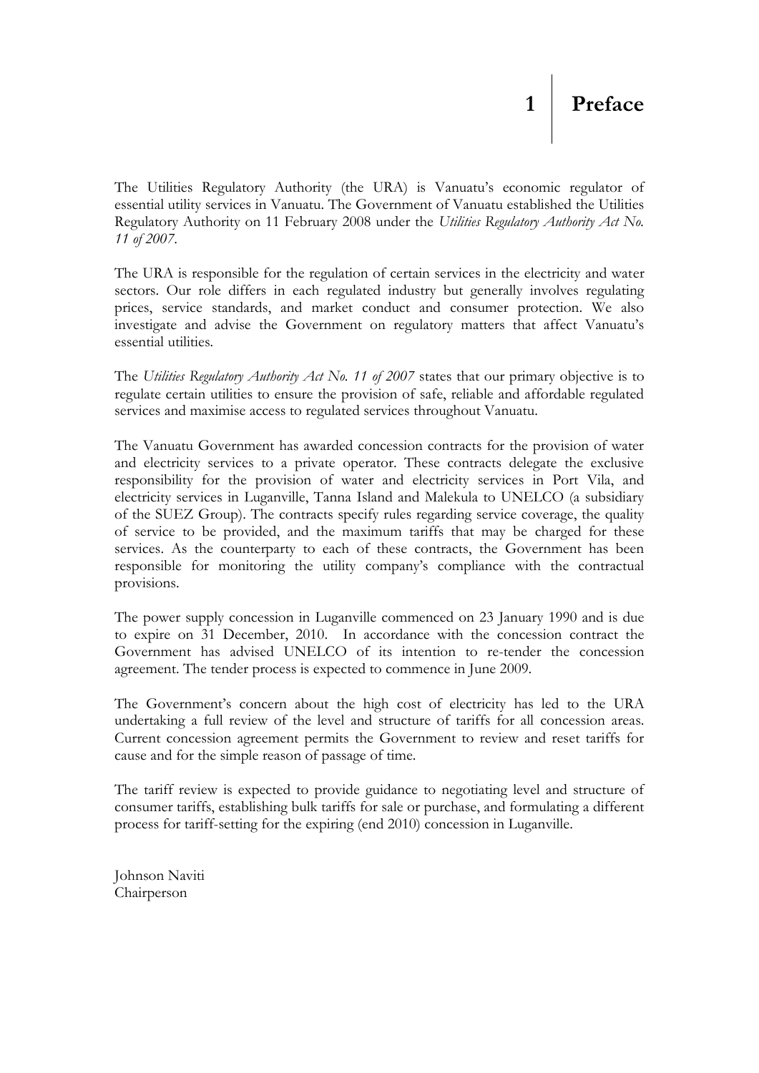<span id="page-1-0"></span>The Utilities Regulatory Authority (the URA) is Vanuatu's economic regulator of essential utility services in Vanuatu. The Government of Vanuatu established the Utilities Regulatory Authority on 11 February 2008 under the *Utilities Regulatory Authority Act No. 11 of 2007*.

The URA is responsible for the regulation of certain services in the electricity and water sectors. Our role differs in each regulated industry but generally involves regulating prices, service standards, and market conduct and consumer protection. We also investigate and advise the Government on regulatory matters that affect Vanuatu's essential utilities*.*

The *Utilities Regulatory Authority Act No. 11 of 2007* states that our primary objective is to regulate certain utilities to ensure the provision of safe, reliable and affordable regulated services and maximise access to regulated services throughout Vanuatu.

The Vanuatu Government has awarded concession contracts for the provision of water and electricity services to a private operator. These contracts delegate the exclusive responsibility for the provision of water and electricity services in Port Vila, and electricity services in Luganville, Tanna Island and Malekula to UNELCO (a subsidiary of the SUEZ Group). The contracts specify rules regarding service coverage, the quality of service to be provided, and the maximum tariffs that may be charged for these services. As the counterparty to each of these contracts, the Government has been responsible for monitoring the utility company's compliance with the contractual provisions.

The power supply concession in Luganville commenced on 23 January 1990 and is due to expire on 31 December, 2010. In accordance with the concession contract the Government has advised UNELCO of its intention to re-tender the concession agreement. The tender process is expected to commence in June 2009.

The Government's concern about the high cost of electricity has led to the URA undertaking a full review of the level and structure of tariffs for all concession areas. Current concession agreement permits the Government to review and reset tariffs for cause and for the simple reason of passage of time.

The tariff review is expected to provide guidance to negotiating level and structure of consumer tariffs, establishing bulk tariffs for sale or purchase, and formulating a different process for tariff-setting for the expiring (end 2010) concession in Luganville.

Johnson Naviti Chairperson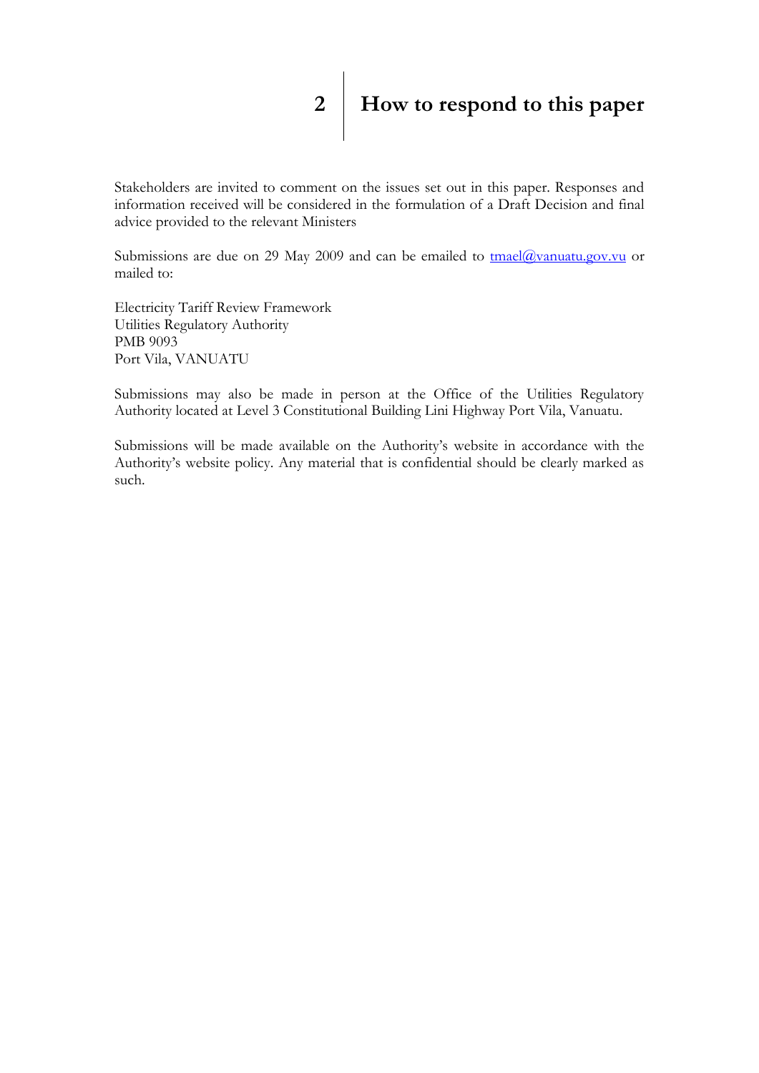<span id="page-2-0"></span>Stakeholders are invited to comment on the issues set out in this paper. Responses and information received will be considered in the formulation of a Draft Decision and final advice provided to the relevant Ministers

Submissions are due on 29 May 2009 and can be emailed to  $\frac{\text{tmael}(a)}{\text{wannuatu.gov.vu}}$  or mailed to:

Electricity Tariff Review Framework Utilities Regulatory Authority PMB 9093 Port Vila, VANUATU

Submissions may also be made in person at the Office of the Utilities Regulatory Authority located at Level 3 Constitutional Building Lini Highway Port Vila, Vanuatu.

Submissions will be made available on the Authority's website in accordance with the Authority's website policy. Any material that is confidential should be clearly marked as such.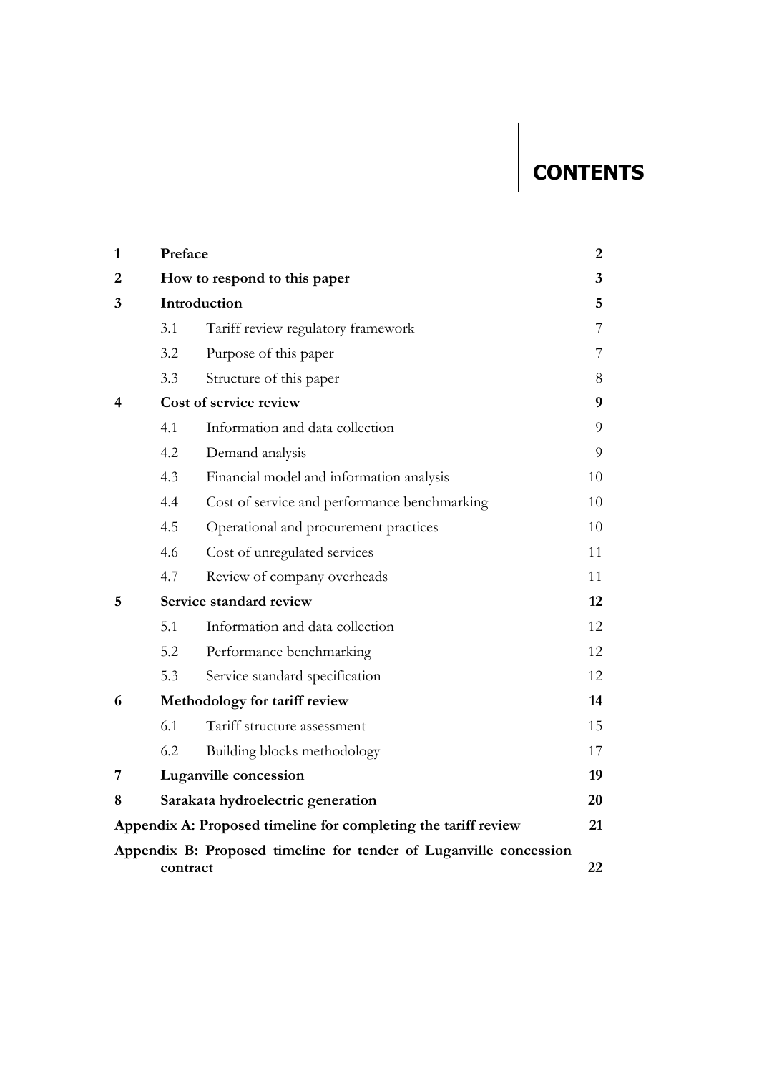# **CONTENTS**

| $\mathbf{1}$ | Preface                       |                                                                   |    |  |  |  |  |  |  |
|--------------|-------------------------------|-------------------------------------------------------------------|----|--|--|--|--|--|--|
| 2            | How to respond to this paper  |                                                                   |    |  |  |  |  |  |  |
| 3            | Introduction                  |                                                                   |    |  |  |  |  |  |  |
|              | 3.1                           | Tariff review regulatory framework                                | 7  |  |  |  |  |  |  |
|              | 3.2                           | Purpose of this paper                                             | 7  |  |  |  |  |  |  |
|              | 3.3                           | Structure of this paper                                           | 8  |  |  |  |  |  |  |
| 4            | Cost of service review        |                                                                   |    |  |  |  |  |  |  |
|              | 4.1                           | Information and data collection                                   | 9  |  |  |  |  |  |  |
|              | 4.2                           | Demand analysis                                                   | 9  |  |  |  |  |  |  |
|              | 4.3                           | Financial model and information analysis                          | 10 |  |  |  |  |  |  |
|              | 4.4                           | Cost of service and performance benchmarking                      | 10 |  |  |  |  |  |  |
|              | 4.5                           | Operational and procurement practices                             | 10 |  |  |  |  |  |  |
|              | 4.6                           | Cost of unregulated services                                      | 11 |  |  |  |  |  |  |
|              | 4.7                           | Review of company overheads                                       | 11 |  |  |  |  |  |  |
| 5            |                               | Service standard review                                           | 12 |  |  |  |  |  |  |
|              | 5.1                           | Information and data collection                                   | 12 |  |  |  |  |  |  |
|              | 5.2                           | Performance benchmarking                                          | 12 |  |  |  |  |  |  |
|              | 5.3                           | Service standard specification                                    | 12 |  |  |  |  |  |  |
| 6            | Methodology for tariff review |                                                                   |    |  |  |  |  |  |  |
|              | 6.1                           | Tariff structure assessment                                       | 15 |  |  |  |  |  |  |
|              | 6.2                           | Building blocks methodology                                       | 17 |  |  |  |  |  |  |
| 7            |                               | Luganville concession                                             | 19 |  |  |  |  |  |  |
| 8            |                               | Sarakata hydroelectric generation                                 | 20 |  |  |  |  |  |  |
|              |                               | Appendix A: Proposed timeline for completing the tariff review    | 21 |  |  |  |  |  |  |
|              | contract                      | Appendix B: Proposed timeline for tender of Luganville concession | 22 |  |  |  |  |  |  |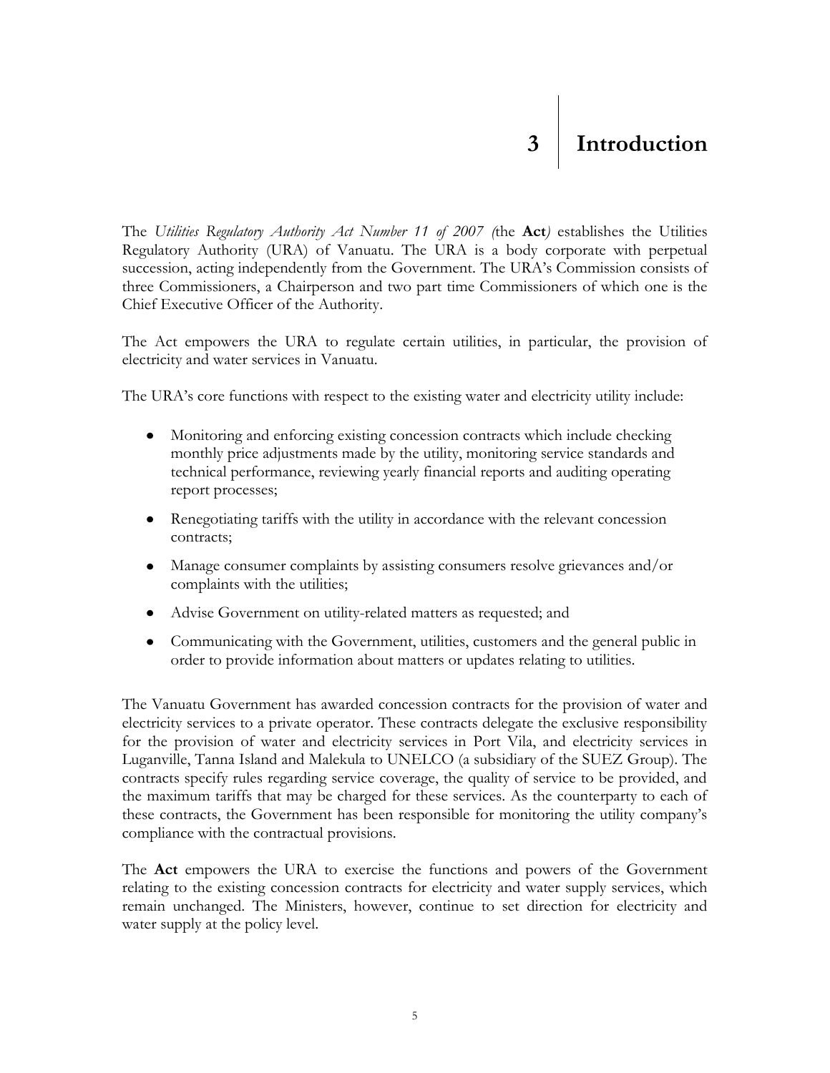<span id="page-4-0"></span>The *Utilities Regulatory Authority Act Number 11 of 2007 (*the **Act***)* establishes the Utilities Regulatory Authority (URA) of Vanuatu. The URA is a body corporate with perpetual succession, acting independently from the Government. The URA's Commission consists of three Commissioners, a Chairperson and two part time Commissioners of which one is the Chief Executive Officer of the Authority.

The Act empowers the URA to regulate certain utilities, in particular, the provision of electricity and water services in Vanuatu.

The URA's core functions with respect to the existing water and electricity utility include:

- Monitoring and enforcing existing concession contracts which include checking monthly price adjustments made by the utility, monitoring service standards and technical performance, reviewing yearly financial reports and auditing operating report processes;
- Renegotiating tariffs with the utility in accordance with the relevant concession contracts;
- Manage consumer complaints by assisting consumers resolve grievances and/or complaints with the utilities;
- Advise Government on utility-related matters as requested; and
- Communicating with the Government, utilities, customers and the general public in order to provide information about matters or updates relating to utilities.

The Vanuatu Government has awarded concession contracts for the provision of water and electricity services to a private operator. These contracts delegate the exclusive responsibility for the provision of water and electricity services in Port Vila, and electricity services in Luganville, Tanna Island and Malekula to UNELCO (a subsidiary of the SUEZ Group). The contracts specify rules regarding service coverage, the quality of service to be provided, and the maximum tariffs that may be charged for these services. As the counterparty to each of these contracts, the Government has been responsible for monitoring the utility company's compliance with the contractual provisions.

The **Act** empowers the URA to exercise the functions and powers of the Government relating to the existing concession contracts for electricity and water supply services, which remain unchanged. The Ministers, however, continue to set direction for electricity and water supply at the policy level.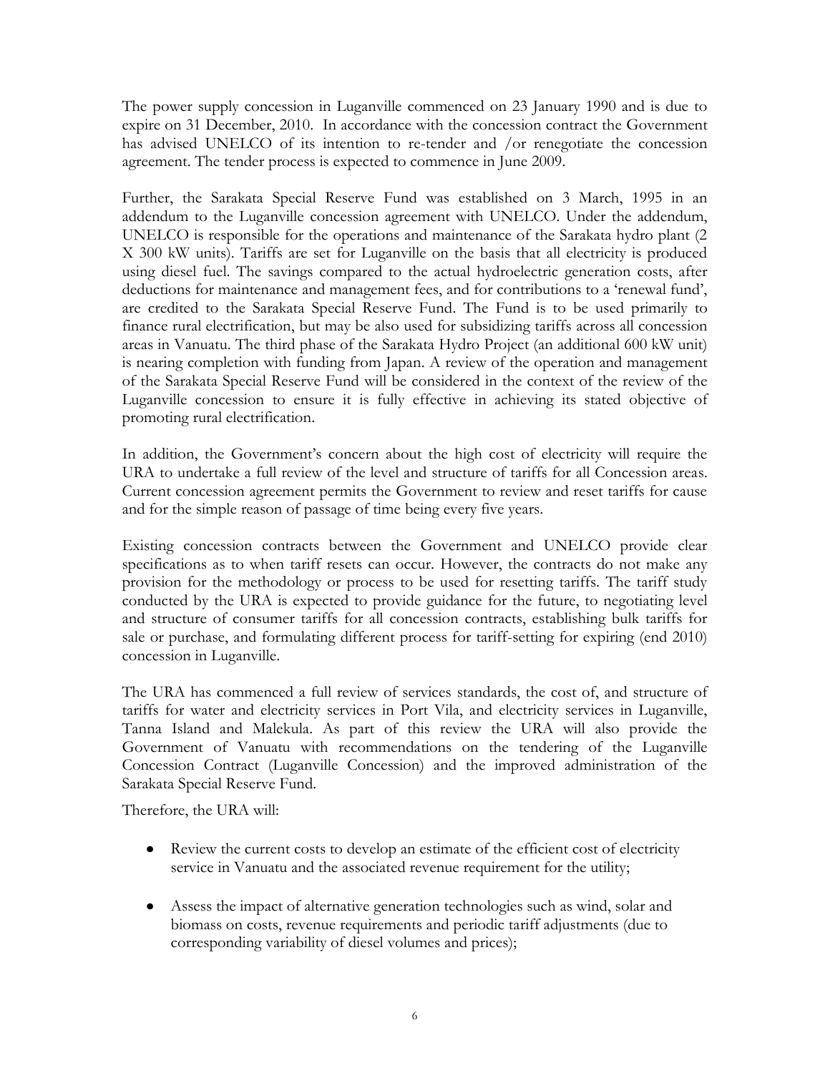The power supply concession in Luganville commenced on 23 January 1990 and is due to expire on 31 December, 2010. In accordance with the concession contract the Government has advised UNELCO of its intention to re-tender and /or renegotiate the concession agreement. The tender process is expected to commence in June 2009.

Further, the Sarakata Special Reserve Fund was established on 3 March, 1995 in an addendum to the Luganville concession agreement with UNELCO. Under the addendum, UNELCO is responsible for the operations and maintenance of the Sarakata hydro plant (2 X 300 kW units). Tariffs are set for Luganville on the basis that all electricity is produced using diesel fuel. The savings compared to the actual hydroelectric generation costs, after deductions for maintenance and management fees, and for contributions to a 'renewal fund', are credited to the Sarakata Special Reserve Fund. The Fund is to be used primarily to finance rural electrification, but may be also used for subsidizing tariffs across all concession areas in Vanuatu. The third phase of the Sarakata Hydro Project (an additional 600 kW unit) is nearing completion with funding from Japan. A review of the operation and management of the Sarakata Special Reserve Fund will be considered in the context of the review of the Luganville concession to ensure it is fully effective in achieving its stated objective of promoting rural electrification.

In addition, the Government's concern about the high cost of electricity will require the URA to undertake a full review of the level and structure of tariffs for all Concession areas. Current concession agreement permits the Government to review and reset tariffs for cause and for the simple reason of passage of time being every five years.

Existing concession contracts between the Government and UNELCO provide clear specifications as to when tariff resets can occur. However, the contracts do not make any provision for the methodology or process to be used for resetting tariffs. The tariff study conducted by the URA is expected to provide guidance for the future, to negotiating level and structure of consumer tariffs for all concession contracts, establishing bulk tariffs for sale or purchase, and formulating different process for tariff-setting for expiring (end 2010) concession in Luganville.

The URA has commenced a full review of services standards, the cost of, and structure of tariffs for water and electricity services in Port Vila, and electricity services in Luganville, Tanna Island and Malekula. As part of this review the URA will also provide the Government of Vanuatu with recommendations on the tendering of the Luganville Concession Contract (Luganville Concession) and the improved administration of the Sarakata Special Reserve Fund.

Therefore, the URA will:

- Review the current costs to develop an estimate of the efficient cost of electricity service in Vanuatu and the associated revenue requirement for the utility;
- Assess the impact of alternative generation technologies such as wind, solar and biomass on costs, revenue requirements and periodic tariff adjustments (due to corresponding variability of diesel volumes and prices);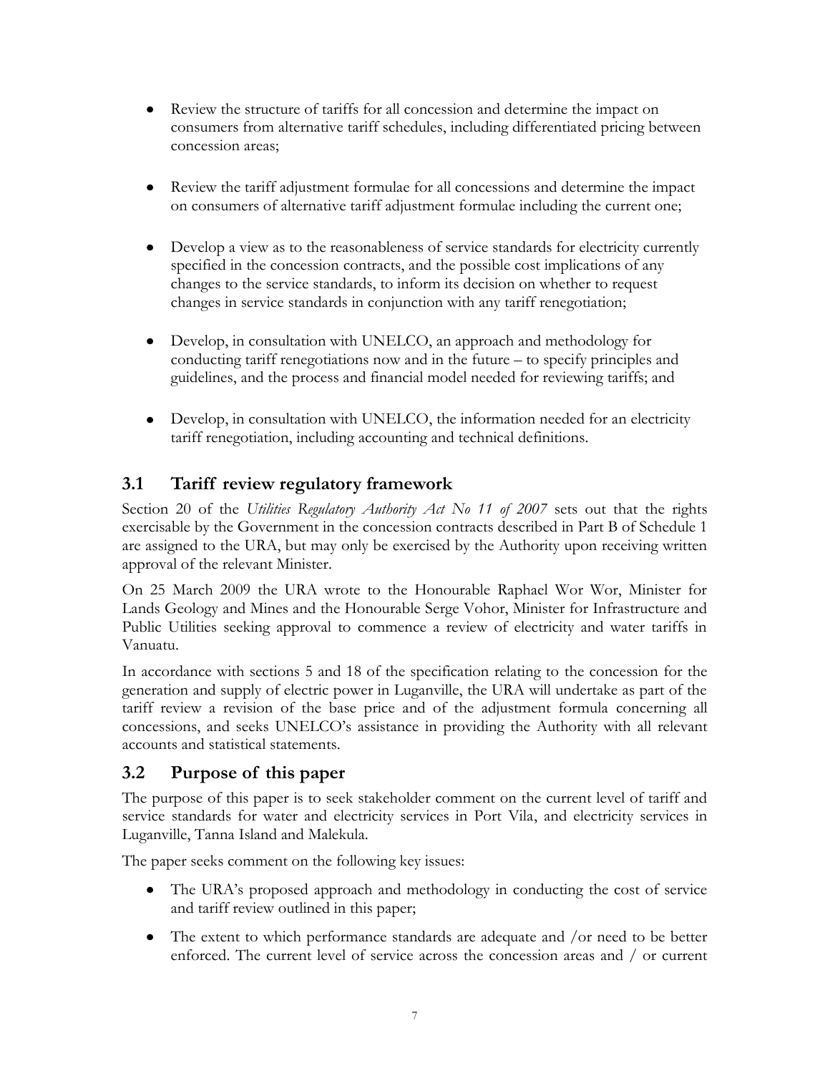- Review the structure of tariffs for all concession and determine the impact on  $\bullet$ consumers from alternative tariff schedules, including differentiated pricing between concession areas;
- Review the tariff adjustment formulae for all concessions and determine the impact  $\bullet$ on consumers of alternative tariff adjustment formulae including the current one;
- Develop a view as to the reasonableness of service standards for electricity currently specified in the concession contracts, and the possible cost implications of any changes to the service standards, to inform its decision on whether to request changes in service standards in conjunction with any tariff renegotiation;
- $\bullet$ Develop, in consultation with UNELCO, an approach and methodology for conducting tariff renegotiations now and in the future – to specify principles and guidelines, and the process and financial model needed for reviewing tariffs; and
- Develop, in consultation with UNELCO, the information needed for an electricity tariff renegotiation, including accounting and technical definitions.

#### **3.1 Tariff review regulatory framework**

<span id="page-6-0"></span>Section 20 of the *Utilities Regulatory Authority Act No 11 of 2007* sets out that the rights exercisable by the Government in the concession contracts described in Part B of Schedule 1 are assigned to the URA, but may only be exercised by the Authority upon receiving written approval of the relevant Minister.

On 25 March 2009 the URA wrote to the Honourable Raphael Wor Wor, Minister for Lands Geology and Mines and the Honourable Serge Vohor, Minister for Infrastructure and Public Utilities seeking approval to commence a review of electricity and water tariffs in Vanuatu.

In accordance with sections 5 and 18 of the specification relating to the concession for the generation and supply of electric power in Luganville, the URA will undertake as part of the tariff review a revision of the base price and of the adjustment formula concerning all concessions, and seeks UNELCO's assistance in providing the Authority with all relevant accounts and statistical statements.

#### **3.2 Purpose of this paper**

The purpose of this paper is to seek stakeholder comment on the current level of tariff and service standards for water and electricity services in Port Vila, and electricity services in Luganville, Tanna Island and Malekula.

<span id="page-6-1"></span>The paper seeks comment on the following key issues:

- The URA's proposed approach and methodology in conducting the cost of service and tariff review outlined in this paper;
- The extent to which performance standards are adequate and /or need to be better enforced. The current level of service across the concession areas and / or current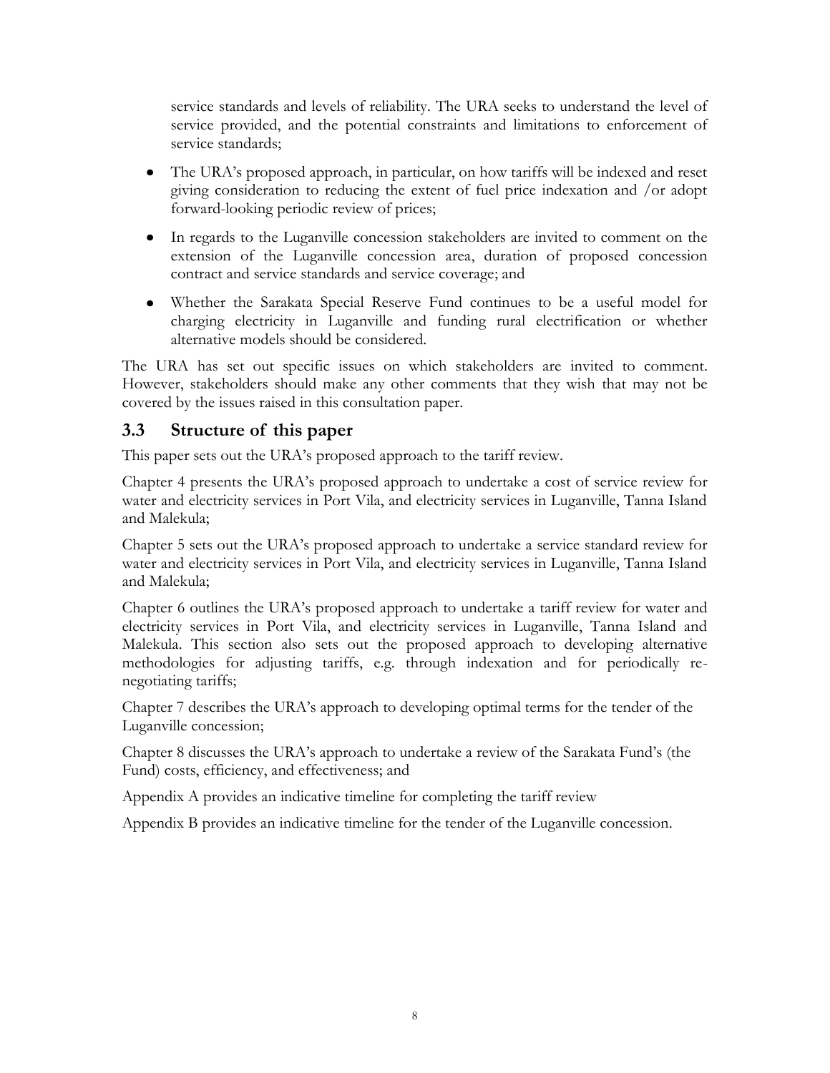service standards and levels of reliability. The URA seeks to understand the level of service provided, and the potential constraints and limitations to enforcement of service standards;

- The URA's proposed approach, in particular, on how tariffs will be indexed and reset giving consideration to reducing the extent of fuel price indexation and /or adopt forward-looking periodic review of prices;
- In regards to the Luganville concession stakeholders are invited to comment on the extension of the Luganville concession area, duration of proposed concession contract and service standards and service coverage; and
- Whether the Sarakata Special Reserve Fund continues to be a useful model for charging electricity in Luganville and funding rural electrification or whether alternative models should be considered.

The URA has set out specific issues on which stakeholders are invited to comment. However, stakeholders should make any other comments that they wish that may not be covered by the issues raised in this consultation paper.

#### **3.3 Structure of this paper**

This paper sets out the URA's proposed approach to the tariff review.

<span id="page-7-0"></span>Chapter 4 presents the URA's proposed approach to undertake a cost of service review for water and electricity services in Port Vila, and electricity services in Luganville, Tanna Island and Malekula;

Chapter 5 sets out the URA's proposed approach to undertake a service standard review for water and electricity services in Port Vila, and electricity services in Luganville, Tanna Island and Malekula;

Chapter 6 outlines the URA's proposed approach to undertake a tariff review for water and electricity services in Port Vila, and electricity services in Luganville, Tanna Island and Malekula. This section also sets out the proposed approach to developing alternative methodologies for adjusting tariffs, e.g. through indexation and for periodically renegotiating tariffs;

Chapter 7 describes the URA's approach to developing optimal terms for the tender of the Luganville concession;

Chapter 8 discusses the URA's approach to undertake a review of the Sarakata Fund's (the Fund) costs, efficiency, and effectiveness; and

Appendix A provides an indicative timeline for completing the tariff review

Appendix B provides an indicative timeline for the tender of the Luganville concession.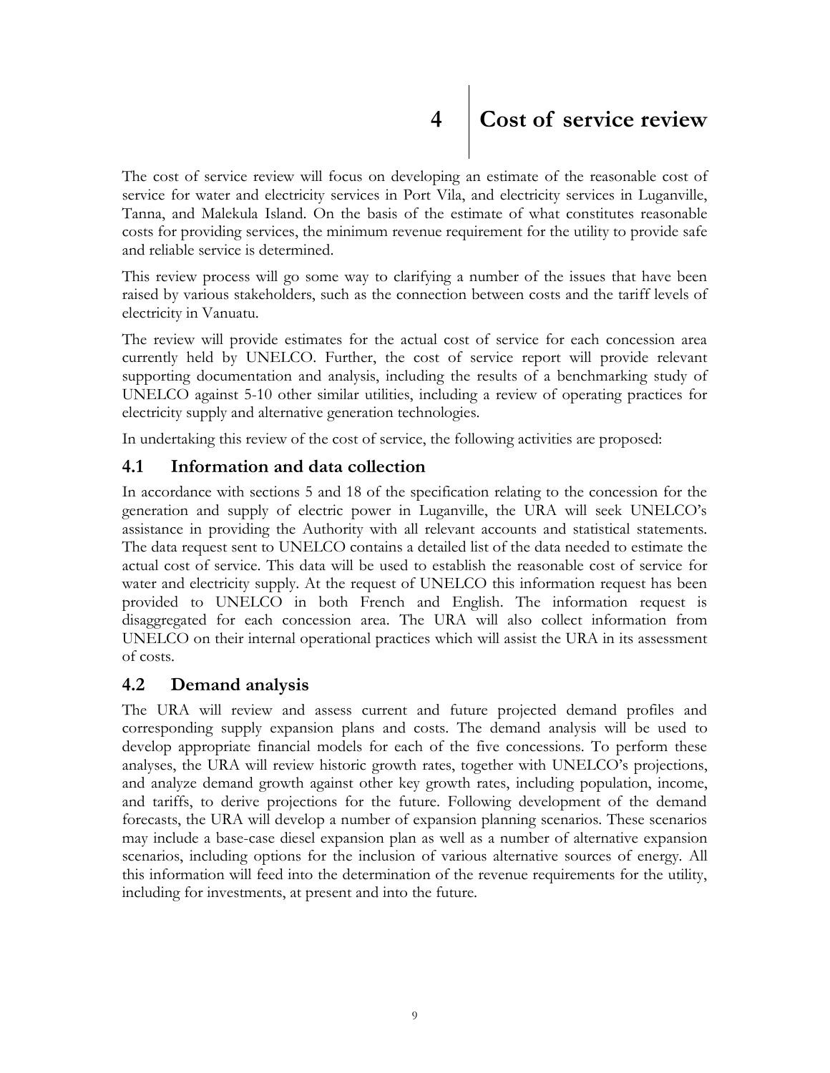# <span id="page-8-0"></span>**4 Cost of service review**

The cost of service review will focus on developing an estimate of the reasonable cost of service for water and electricity services in Port Vila, and electricity services in Luganville, Tanna, and Malekula Island. On the basis of the estimate of what constitutes reasonable costs for providing services, the minimum revenue requirement for the utility to provide safe and reliable service is determined.

This review process will go some way to clarifying a number of the issues that have been raised by various stakeholders, such as the connection between costs and the tariff levels of electricity in Vanuatu.

The review will provide estimates for the actual cost of service for each concession area currently held by UNELCO. Further, the cost of service report will provide relevant supporting documentation and analysis, including the results of a benchmarking study of UNELCO against 5-10 other similar utilities, including a review of operating practices for electricity supply and alternative generation technologies.

In undertaking this review of the cost of service, the following activities are proposed:

#### **4.1 Information and data collection**

<span id="page-8-1"></span>In accordance with sections 5 and 18 of the specification relating to the concession for the generation and supply of electric power in Luganville, the URA will seek UNELCO's assistance in providing the Authority with all relevant accounts and statistical statements. The data request sent to UNELCO contains a detailed list of the data needed to estimate the actual cost of service. This data will be used to establish the reasonable cost of service for water and electricity supply. At the request of UNELCO this information request has been provided to UNELCO in both French and English. The information request is disaggregated for each concession area. The URA will also collect information from UNELCO on their internal operational practices which will assist the URA in its assessment of costs.

#### **4.2 Demand analysis**

<span id="page-8-2"></span>The URA will review and assess current and future projected demand profiles and corresponding supply expansion plans and costs. The demand analysis will be used to develop appropriate financial models for each of the five concessions. To perform these analyses, the URA will review historic growth rates, together with UNELCO's projections, and analyze demand growth against other key growth rates, including population, income, and tariffs, to derive projections for the future. Following development of the demand forecasts, the URA will develop a number of expansion planning scenarios. These scenarios may include a base-case diesel expansion plan as well as a number of alternative expansion scenarios, including options for the inclusion of various alternative sources of energy. All this information will feed into the determination of the revenue requirements for the utility, including for investments, at present and into the future.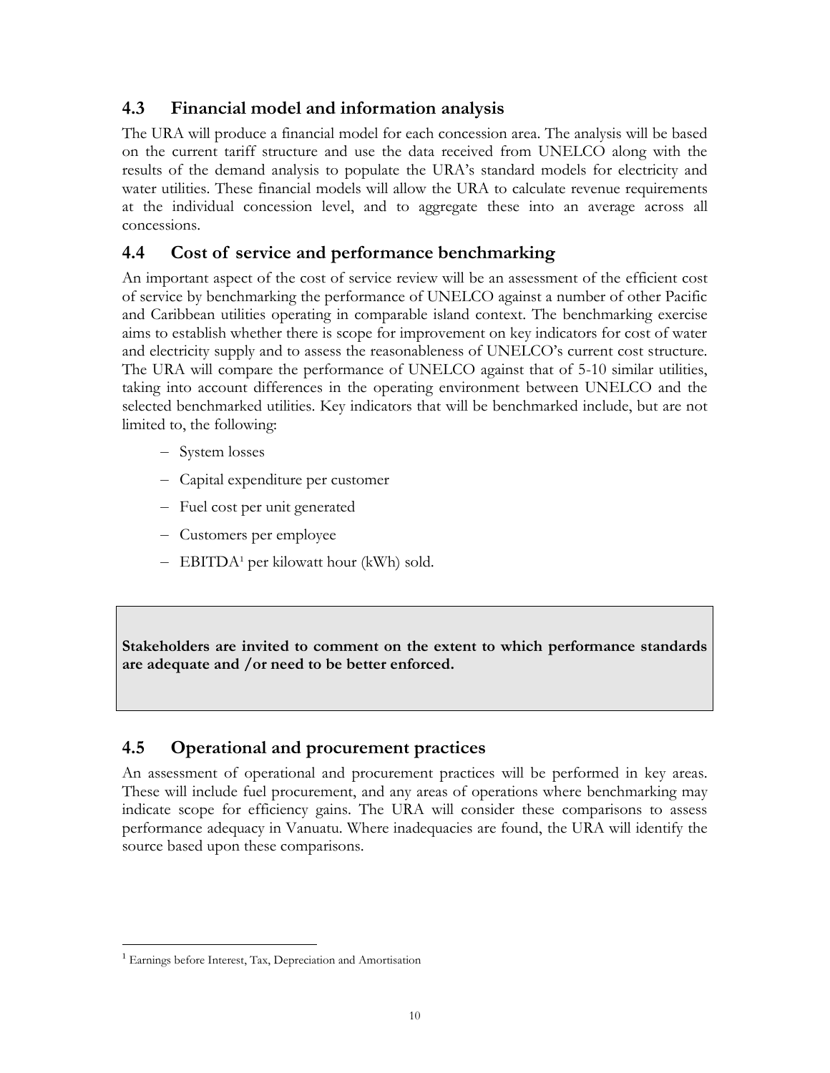#### **4.3 Financial model and information analysis**

<span id="page-9-0"></span>The URA will produce a financial model for each concession area. The analysis will be based on the current tariff structure and use the data received from UNELCO along with the results of the demand analysis to populate the URA's standard models for electricity and water utilities. These financial models will allow the URA to calculate revenue requirements at the individual concession level, and to aggregate these into an average across all concessions.

#### **4.4 Cost of service and performance benchmarking**

<span id="page-9-1"></span>An important aspect of the cost of service review will be an assessment of the efficient cost of service by benchmarking the performance of UNELCO against a number of other Pacific and Caribbean utilities operating in comparable island context. The benchmarking exercise aims to establish whether there is scope for improvement on key indicators for cost of water and electricity supply and to assess the reasonableness of UNELCO's current cost structure. The URA will compare the performance of UNELCO against that of 5-10 similar utilities, taking into account differences in the operating environment between UNELCO and the selected benchmarked utilities. Key indicators that will be benchmarked include, but are not limited to, the following:

- System losses
- Capital expenditure per customer
- Fuel cost per unit generated
- Customers per employee
- $-$  EBITDA<sup>1</sup> per kilowatt hour (kWh) sold.

**Stakeholders are invited to comment on the extent to which performance standards are adequate and /or need to be better enforced.** 

#### **4.5 Operational and procurement practices**

<span id="page-9-2"></span>An assessment of operational and procurement practices will be performed in key areas. These will include fuel procurement, and any areas of operations where benchmarking may indicate scope for efficiency gains. The URA will consider these comparisons to assess performance adequacy in Vanuatu. Where inadequacies are found, the URA will identify the source based upon these comparisons.

 $\overline{a}$ 

<sup>&</sup>lt;sup>1</sup> Earnings before Interest, Tax, Depreciation and Amortisation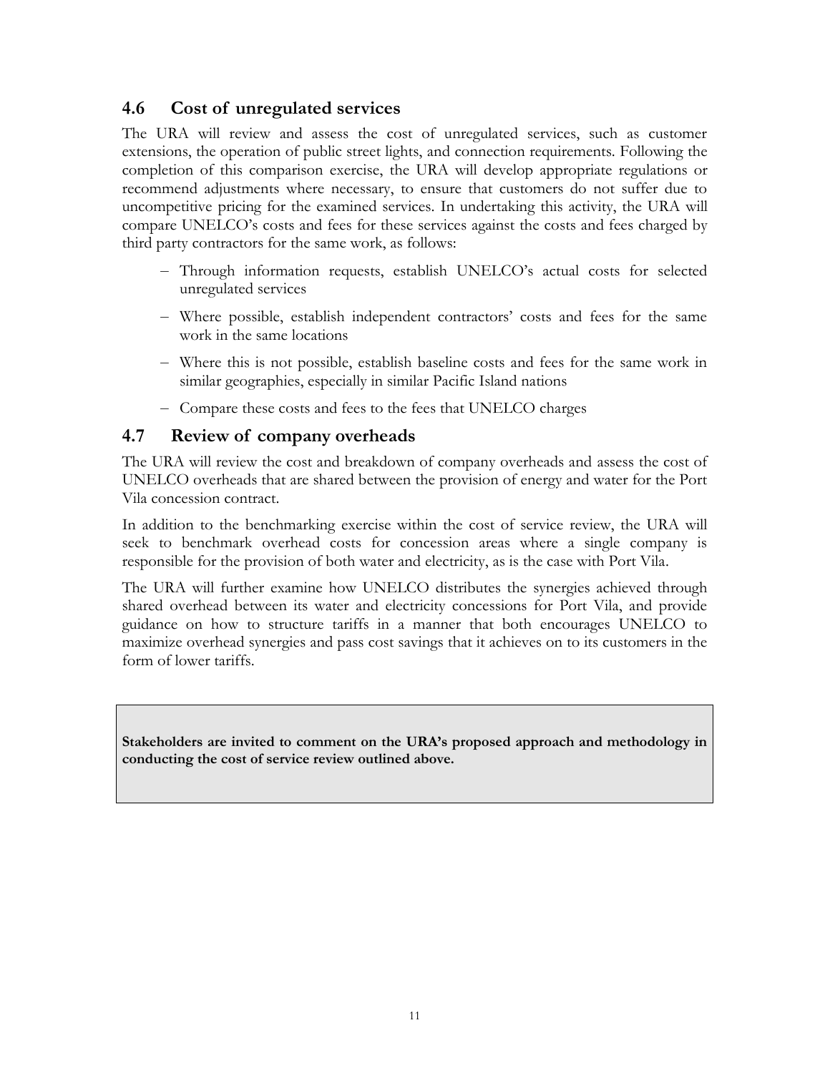#### **4.6 Cost of unregulated services**

<span id="page-10-0"></span>The URA will review and assess the cost of unregulated services, such as customer extensions, the operation of public street lights, and connection requirements. Following the completion of this comparison exercise, the URA will develop appropriate regulations or recommend adjustments where necessary, to ensure that customers do not suffer due to uncompetitive pricing for the examined services. In undertaking this activity, the URA will compare UNELCO's costs and fees for these services against the costs and fees charged by third party contractors for the same work, as follows:

- Through information requests, establish UNELCO's actual costs for selected unregulated services
- Where possible, establish independent contractors' costs and fees for the same work in the same locations
- Where this is not possible, establish baseline costs and fees for the same work in similar geographies, especially in similar Pacific Island nations
- Compare these costs and fees to the fees that UNELCO charges

#### **4.7 Review of company overheads**

The URA will review the cost and breakdown of company overheads and assess the cost of UNELCO overheads that are shared between the provision of energy and water for the Port Vila concession contract.

<span id="page-10-1"></span>In addition to the benchmarking exercise within the cost of service review, the URA will seek to benchmark overhead costs for concession areas where a single company is responsible for the provision of both water and electricity, as is the case with Port Vila.

The URA will further examine how UNELCO distributes the synergies achieved through shared overhead between its water and electricity concessions for Port Vila, and provide guidance on how to structure tariffs in a manner that both encourages UNELCO to maximize overhead synergies and pass cost savings that it achieves on to its customers in the form of lower tariffs.

**Stakeholders are invited to comment on the URA's proposed approach and methodology in conducting the cost of service review outlined above.**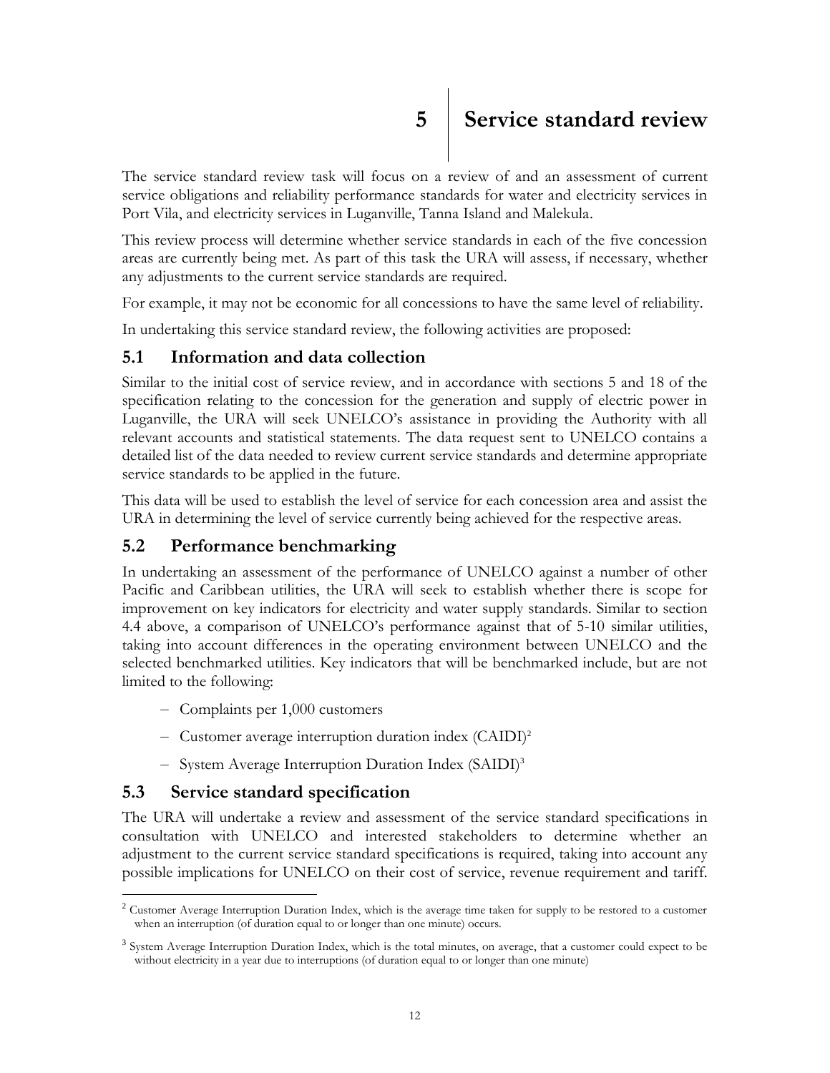<span id="page-11-0"></span>The service standard review task will focus on a review of and an assessment of current service obligations and reliability performance standards for water and electricity services in Port Vila, and electricity services in Luganville, Tanna Island and Malekula.

This review process will determine whether service standards in each of the five concession areas are currently being met. As part of this task the URA will assess, if necessary, whether any adjustments to the current service standards are required.

For example, it may not be economic for all concessions to have the same level of reliability.

In undertaking this service standard review, the following activities are proposed:

#### **5.1 Information and data collection**

<span id="page-11-1"></span>Similar to the initial cost of service review, and in accordance with sections 5 and 18 of the specification relating to the concession for the generation and supply of electric power in Luganville, the URA will seek UNELCO's assistance in providing the Authority with all relevant accounts and statistical statements. The data request sent to UNELCO contains a detailed list of the data needed to review current service standards and determine appropriate service standards to be applied in the future.

This data will be used to establish the level of service for each concession area and assist the URA in determining the level of service currently being achieved for the respective areas.

#### **5.2 Performance benchmarking**

<span id="page-11-2"></span>In undertaking an assessment of the performance of UNELCO against a number of other Pacific and Caribbean utilities, the URA will seek to establish whether there is scope for improvement on key indicators for electricity and water supply standards. Similar to section 4.4 above, a comparison of UNELCO's performance against that of 5-10 similar utilities, taking into account differences in the operating environment between UNELCO and the selected benchmarked utilities. Key indicators that will be benchmarked include, but are not limited to the following:

- Complaints per 1,000 customers
- Customer average interruption duration index (CAIDI)<sup>2</sup>
- System Average Interruption Duration Index (SAIDI)<sup>3</sup>

#### **5.3 Service standard specification**

The URA will undertake a review and assessment of the service standard specifications in consultation with UNELCO and interested stakeholders to determine whether an adjustment to the current service standard specifications is required, taking into account any possible implications for UNELCO on their cost of service, revenue requirement and tariff.

<span id="page-11-3"></span> $\overline{a}$  $2^{2}$  Customer Average Interruption Duration Index, which is the average time taken for supply to be restored to a customer when an interruption (of duration equal to or longer than one minute) occurs.

<sup>&</sup>lt;sup>3</sup> System Average Interruption Duration Index, which is the total minutes, on average, that a customer could expect to be without electricity in a year due to interruptions (of duration equal to or longer than one minute)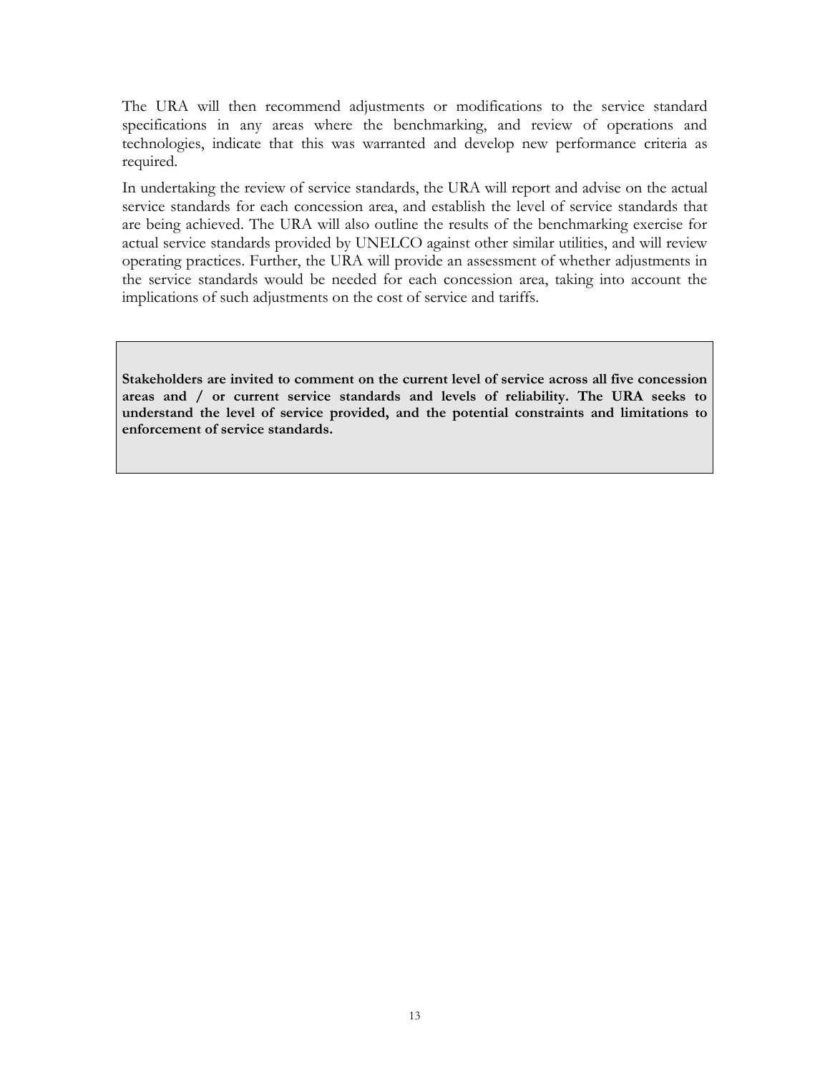The URA will then recommend adjustments or modifications to the service standard specifications in any areas where the benchmarking, and review of operations and technologies, indicate that this was warranted and develop new performance criteria as required.

In undertaking the review of service standards, the URA will report and advise on the actual service standards for each concession area, and establish the level of service standards that are being achieved. The URA will also outline the results of the benchmarking exercise for actual service standards provided by UNELCO against other similar utilities, and will review operating practices. Further, the URA will provide an assessment of whether adjustments in the service standards would be needed for each concession area, taking into account the implications of such adjustments on the cost of service and tariffs.

**Stakeholders are invited to comment on the current level of service across all five concession areas and / or current service standards and levels of reliability. The URA seeks to understand the level of service provided, and the potential constraints and limitations to enforcement of service standards.**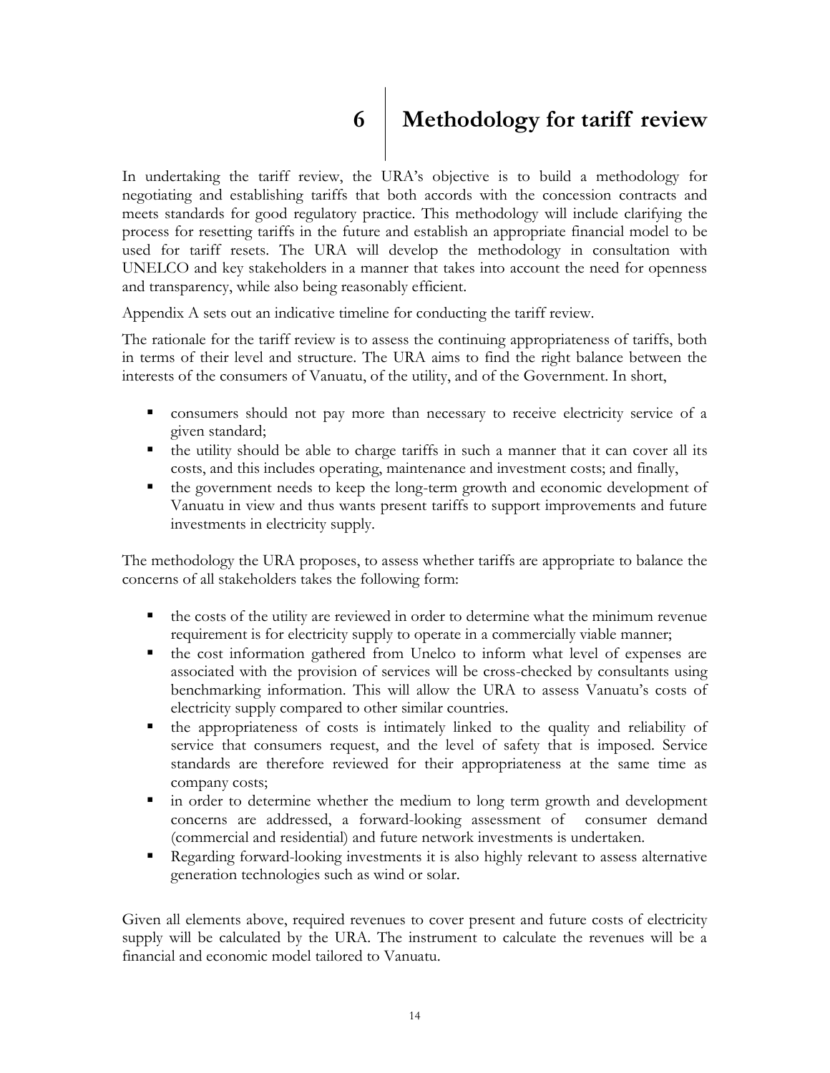<span id="page-13-0"></span>

# **6 Methodology for tariff review**

In undertaking the tariff review, the URA's objective is to build a methodology for negotiating and establishing tariffs that both accords with the concession contracts and meets standards for good regulatory practice. This methodology will include clarifying the process for resetting tariffs in the future and establish an appropriate financial model to be used for tariff resets. The URA will develop the methodology in consultation with UNELCO and key stakeholders in a manner that takes into account the need for openness and transparency, while also being reasonably efficient.

Appendix A sets out an indicative timeline for conducting the tariff review.

The rationale for the tariff review is to assess the continuing appropriateness of tariffs, both in terms of their level and structure. The URA aims to find the right balance between the interests of the consumers of Vanuatu, of the utility, and of the Government. In short,

- consumers should not pay more than necessary to receive electricity service of a given standard;
- the utility should be able to charge tariffs in such a manner that it can cover all its costs, and this includes operating, maintenance and investment costs; and finally,
- the government needs to keep the long-term growth and economic development of Vanuatu in view and thus wants present tariffs to support improvements and future investments in electricity supply.

The methodology the URA proposes, to assess whether tariffs are appropriate to balance the concerns of all stakeholders takes the following form:

- $\blacksquare$  the costs of the utility are reviewed in order to determine what the minimum revenue requirement is for electricity supply to operate in a commercially viable manner;
- $\blacksquare$  the cost information gathered from Unelco to inform what level of expenses are associated with the provision of services will be cross-checked by consultants using benchmarking information. This will allow the URA to assess Vanuatu's costs of electricity supply compared to other similar countries.
- the appropriateness of costs is intimately linked to the quality and reliability of service that consumers request, and the level of safety that is imposed. Service standards are therefore reviewed for their appropriateness at the same time as company costs;
- in order to determine whether the medium to long term growth and development concerns are addressed, a forward-looking assessment of consumer demand (commercial and residential) and future network investments is undertaken.
- Regarding forward-looking investments it is also highly relevant to assess alternative generation technologies such as wind or solar.

Given all elements above, required revenues to cover present and future costs of electricity supply will be calculated by the URA. The instrument to calculate the revenues will be a financial and economic model tailored to Vanuatu.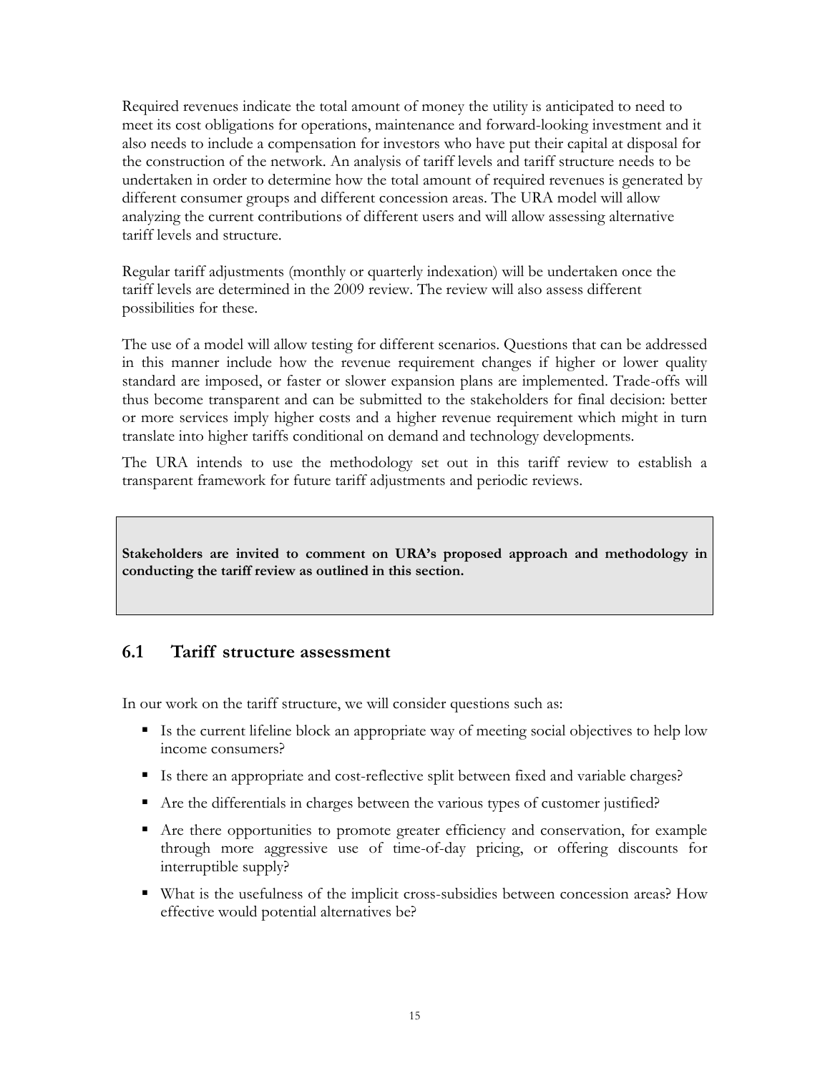Required revenues indicate the total amount of money the utility is anticipated to need to meet its cost obligations for operations, maintenance and forward-looking investment and it also needs to include a compensation for investors who have put their capital at disposal for the construction of the network. An analysis of tariff levels and tariff structure needs to be undertaken in order to determine how the total amount of required revenues is generated by different consumer groups and different concession areas. The URA model will allow analyzing the current contributions of different users and will allow assessing alternative tariff levels and structure.

Regular tariff adjustments (monthly or quarterly indexation) will be undertaken once the tariff levels are determined in the 2009 review. The review will also assess different possibilities for these.

The use of a model will allow testing for different scenarios. Questions that can be addressed in this manner include how the revenue requirement changes if higher or lower quality standard are imposed, or faster or slower expansion plans are implemented. Trade-offs will thus become transparent and can be submitted to the stakeholders for final decision: better or more services imply higher costs and a higher revenue requirement which might in turn translate into higher tariffs conditional on demand and technology developments.

The URA intends to use the methodology set out in this tariff review to establish a transparent framework for future tariff adjustments and periodic reviews.

**Stakeholders are invited to comment on URA's proposed approach and methodology in conducting the tariff review as outlined in this section.** 

#### **6.1 Tariff structure assessment**

<span id="page-14-0"></span>In our work on the tariff structure, we will consider questions such as:

- If Is the current lifeline block an appropriate way of meeting social objectives to help low income consumers?
- Is there an appropriate and cost-reflective split between fixed and variable charges?
- Are the differentials in charges between the various types of customer justified?
- Are there opportunities to promote greater efficiency and conservation, for example through more aggressive use of time-of-day pricing, or offering discounts for interruptible supply?
- What is the usefulness of the implicit cross-subsidies between concession areas? How effective would potential alternatives be?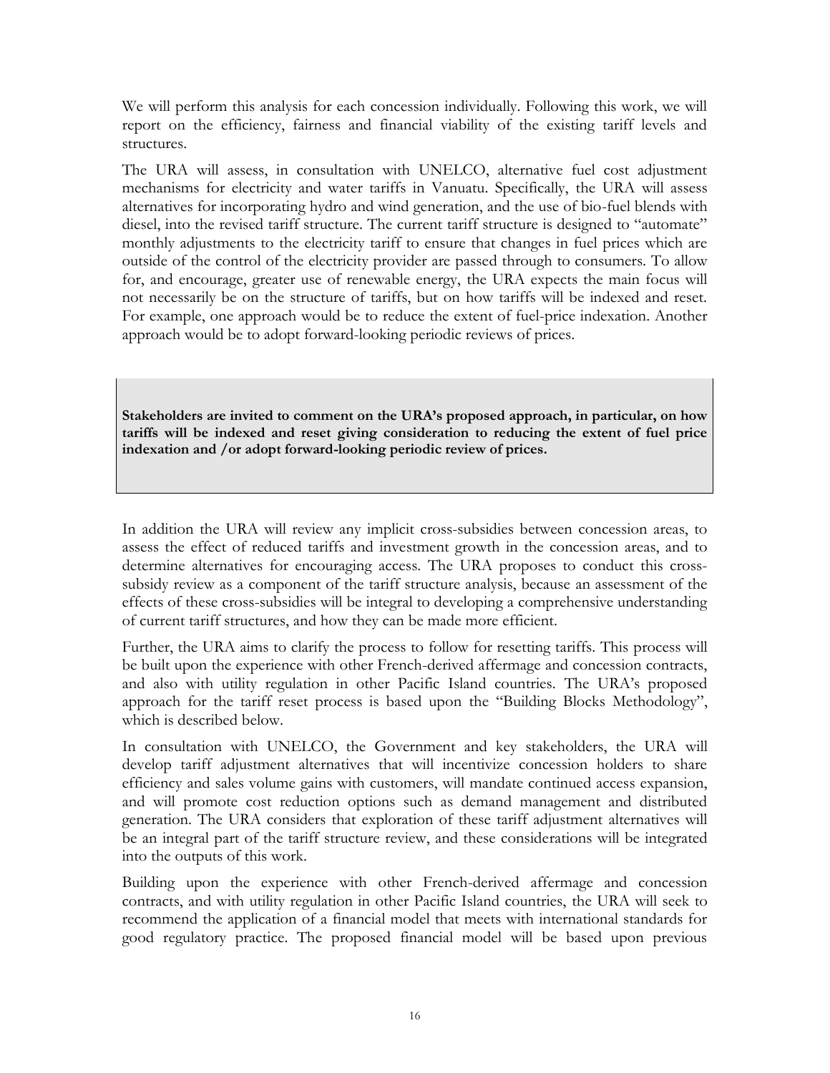We will perform this analysis for each concession individually. Following this work, we will report on the efficiency, fairness and financial viability of the existing tariff levels and structures.

The URA will assess, in consultation with UNELCO, alternative fuel cost adjustment mechanisms for electricity and water tariffs in Vanuatu. Specifically, the URA will assess alternatives for incorporating hydro and wind generation, and the use of bio-fuel blends with diesel, into the revised tariff structure. The current tariff structure is designed to "automate" monthly adjustments to the electricity tariff to ensure that changes in fuel prices which are outside of the control of the electricity provider are passed through to consumers. To allow for, and encourage, greater use of renewable energy, the URA expects the main focus will not necessarily be on the structure of tariffs, but on how tariffs will be indexed and reset. For example, one approach would be to reduce the extent of fuel-price indexation. Another approach would be to adopt forward-looking periodic reviews of prices.

**Stakeholders are invited to comment on the URA's proposed approach, in particular, on how tariffs will be indexed and reset giving consideration to reducing the extent of fuel price indexation and /or adopt forward-looking periodic review of prices.**

In addition the URA will review any implicit cross-subsidies between concession areas, to assess the effect of reduced tariffs and investment growth in the concession areas, and to determine alternatives for encouraging access. The URA proposes to conduct this crosssubsidy review as a component of the tariff structure analysis, because an assessment of the effects of these cross-subsidies will be integral to developing a comprehensive understanding of current tariff structures, and how they can be made more efficient.

Further, the URA aims to clarify the process to follow for resetting tariffs. This process will be built upon the experience with other French-derived affermage and concession contracts, and also with utility regulation in other Pacific Island countries. The URA's proposed approach for the tariff reset process is based upon the "Building Blocks Methodology", which is described below.

In consultation with UNELCO, the Government and key stakeholders, the URA will develop tariff adjustment alternatives that will incentivize concession holders to share efficiency and sales volume gains with customers, will mandate continued access expansion, and will promote cost reduction options such as demand management and distributed generation. The URA considers that exploration of these tariff adjustment alternatives will be an integral part of the tariff structure review, and these considerations will be integrated into the outputs of this work.

Building upon the experience with other French-derived affermage and concession contracts, and with utility regulation in other Pacific Island countries, the URA will seek to recommend the application of a financial model that meets with international standards for good regulatory practice. The proposed financial model will be based upon previous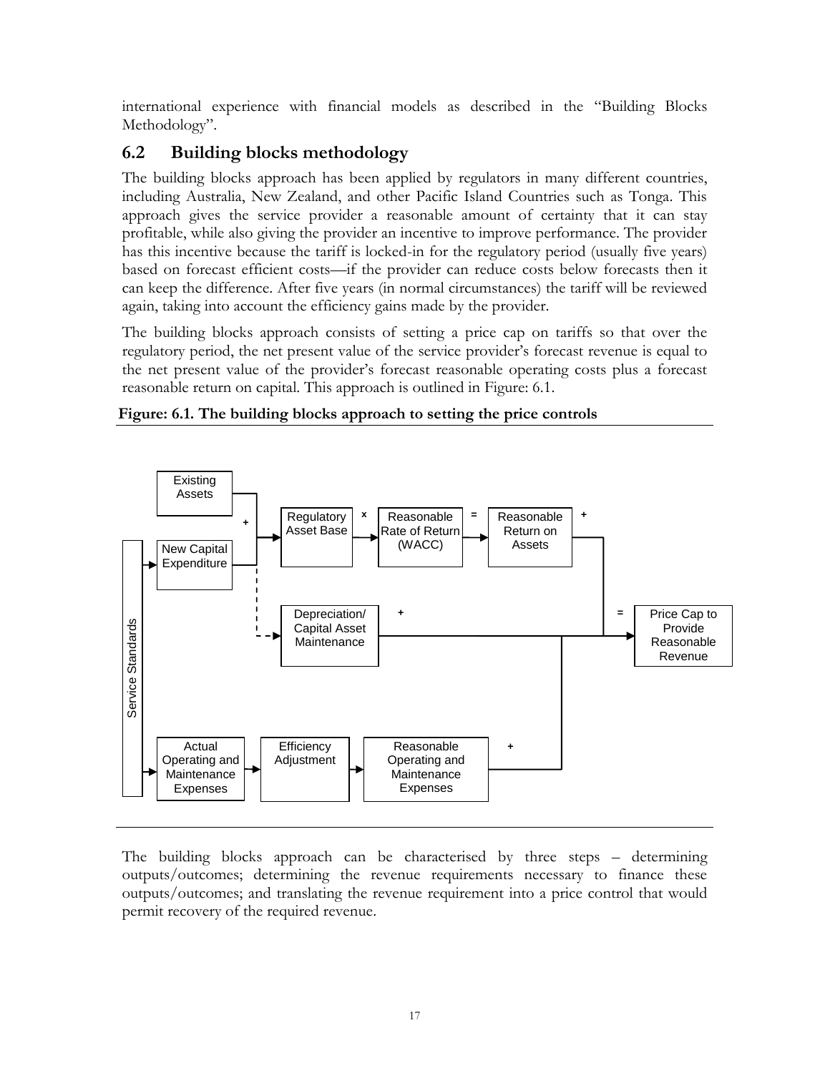international experience with financial models as described in the "Building Blocks" Methodology".

#### **6.2 Building blocks methodology**

<span id="page-16-0"></span>The building blocks approach has been applied by regulators in many different countries, including Australia, New Zealand, and other Pacific Island Countries such as Tonga. This approach gives the service provider a reasonable amount of certainty that it can stay profitable, while also giving the provider an incentive to improve performance. The provider has this incentive because the tariff is locked-in for the regulatory period (usually five years) based on forecast efficient costs—if the provider can reduce costs below forecasts then it can keep the difference. After five years (in normal circumstances) the tariff will be reviewed again, taking into account the efficiency gains made by the provider.

The building blocks approach consists of setting a price cap on tariffs so that over the regulatory period, the net present value of the service provider's forecast revenue is equal to the net present value of the provider's forecast reasonable operating costs plus a forecast reasonable return on capital. This approach is outlined in [Figure: 6.1.](#page-16-1)

<span id="page-16-1"></span>



The building blocks approach can be characterised by three steps – determining outputs/outcomes; determining the revenue requirements necessary to finance these outputs/outcomes; and translating the revenue requirement into a price control that would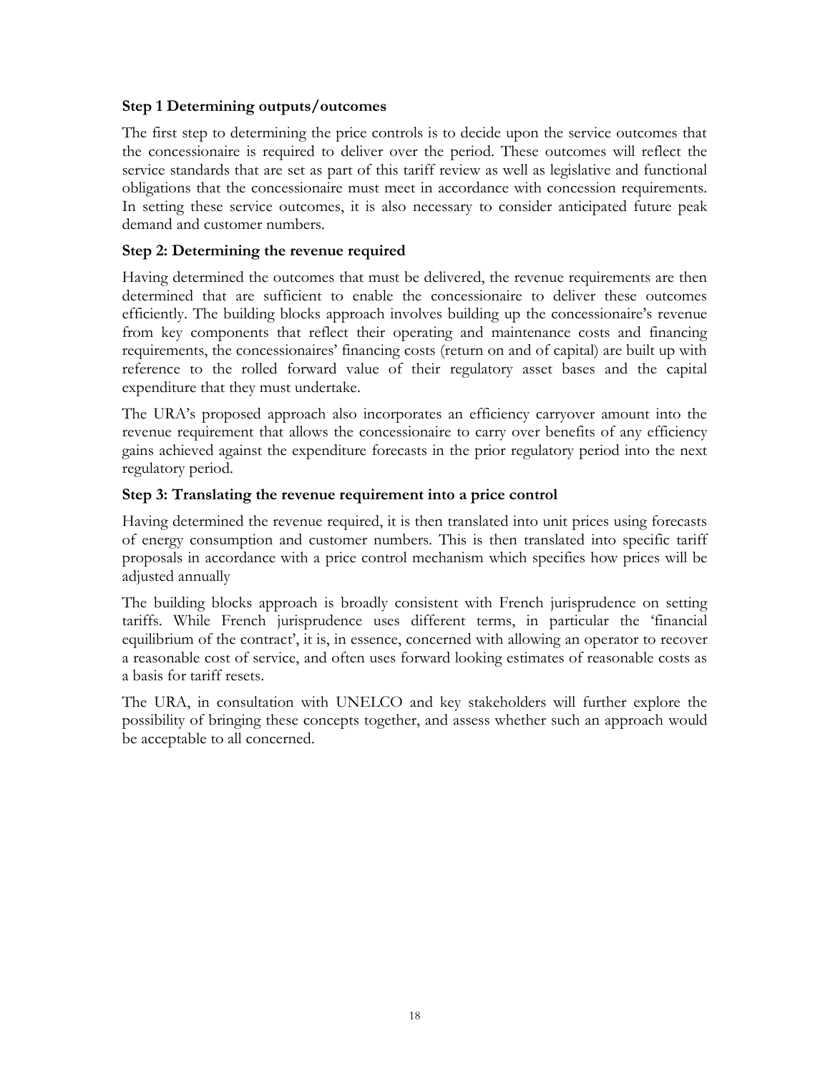#### **Step 1 Determining outputs/outcomes**

The first step to determining the price controls is to decide upon the service outcomes that the concessionaire is required to deliver over the period. These outcomes will reflect the service standards that are set as part of this tariff review as well as legislative and functional obligations that the concessionaire must meet in accordance with concession requirements. In setting these service outcomes, it is also necessary to consider anticipated future peak demand and customer numbers.

#### **Step 2: Determining the revenue required**

Having determined the outcomes that must be delivered, the revenue requirements are then determined that are sufficient to enable the concessionaire to deliver these outcomes efficiently. The building blocks approach involves building up the concessionaire's revenue from key components that reflect their operating and maintenance costs and financing requirements, the concessionaires' financing costs (return on and of capital) are built up with reference to the rolled forward value of their regulatory asset bases and the capital expenditure that they must undertake.

The URA's proposed approach also incorporates an efficiency carryover amount into the revenue requirement that allows the concessionaire to carry over benefits of any efficiency gains achieved against the expenditure forecasts in the prior regulatory period into the next regulatory period.

#### **Step 3: Translating the revenue requirement into a price control**

Having determined the revenue required, it is then translated into unit prices using forecasts of energy consumption and customer numbers. This is then translated into specific tariff proposals in accordance with a price control mechanism which specifies how prices will be adjusted annually

The building blocks approach is broadly consistent with French jurisprudence on setting tariffs. While French jurisprudence uses different terms, in particular the 'financial equilibrium of the contract', it is, in essence, concerned with allowing an operator to recover a reasonable cost of service, and often uses forward looking estimates of reasonable costs as a basis for tariff resets.

The URA, in consultation with UNELCO and key stakeholders will further explore the possibility of bringing these concepts together, and assess whether such an approach would be acceptable to all concerned.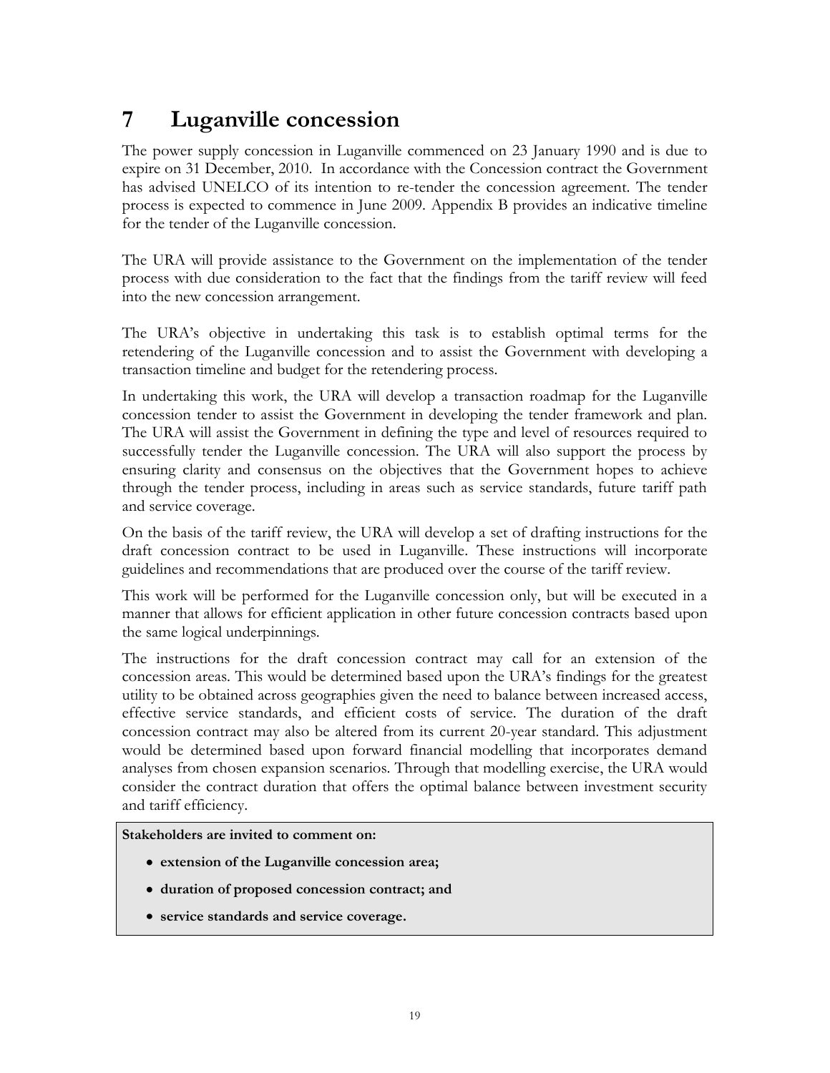## **7 Luganville concession**

<span id="page-18-0"></span>The power supply concession in Luganville commenced on 23 January 1990 and is due to expire on 31 December, 2010. In accordance with the Concession contract the Government has advised UNELCO of its intention to re-tender the concession agreement. The tender process is expected to commence in June 2009. Appendix B provides an indicative timeline for the tender of the Luganville concession.

The URA will provide assistance to the Government on the implementation of the tender process with due consideration to the fact that the findings from the tariff review will feed into the new concession arrangement.

The URA's objective in undertaking this task is to establish optimal terms for the retendering of the Luganville concession and to assist the Government with developing a transaction timeline and budget for the retendering process.

In undertaking this work, the URA will develop a transaction roadmap for the Luganville concession tender to assist the Government in developing the tender framework and plan. The URA will assist the Government in defining the type and level of resources required to successfully tender the Luganville concession. The URA will also support the process by ensuring clarity and consensus on the objectives that the Government hopes to achieve through the tender process, including in areas such as service standards, future tariff path and service coverage.

On the basis of the tariff review, the URA will develop a set of drafting instructions for the draft concession contract to be used in Luganville. These instructions will incorporate guidelines and recommendations that are produced over the course of the tariff review.

This work will be performed for the Luganville concession only, but will be executed in a manner that allows for efficient application in other future concession contracts based upon the same logical underpinnings.

The instructions for the draft concession contract may call for an extension of the concession areas. This would be determined based upon the URA's findings for the greatest utility to be obtained across geographies given the need to balance between increased access, effective service standards, and efficient costs of service. The duration of the draft concession contract may also be altered from its current 20-year standard. This adjustment would be determined based upon forward financial modelling that incorporates demand analyses from chosen expansion scenarios. Through that modelling exercise, the URA would consider the contract duration that offers the optimal balance between investment security and tariff efficiency.

**Stakeholders are invited to comment on:**

- **extension of the Luganville concession area;**
- **duration of proposed concession contract; and**
- **service standards and service coverage.**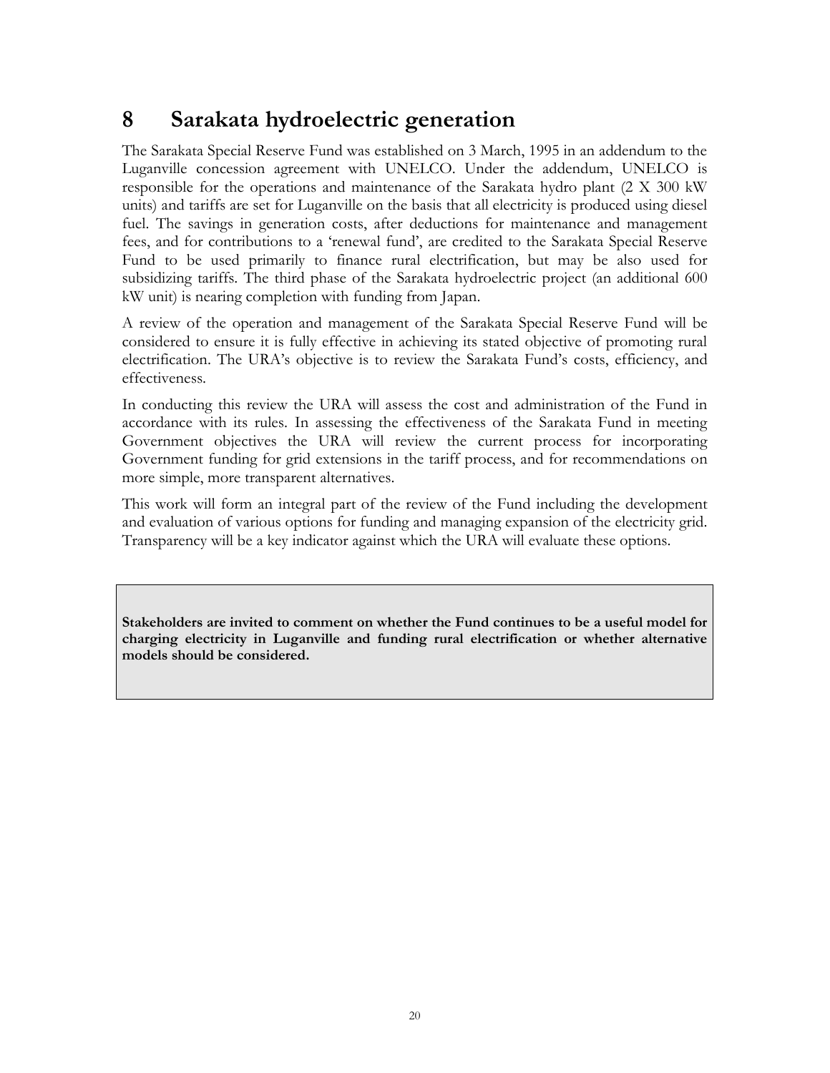## **8 Sarakata hydroelectric generation**

<span id="page-19-0"></span>The Sarakata Special Reserve Fund was established on 3 March, 1995 in an addendum to the Luganville concession agreement with UNELCO. Under the addendum, UNELCO is responsible for the operations and maintenance of the Sarakata hydro plant (2 X 300 kW units) and tariffs are set for Luganville on the basis that all electricity is produced using diesel fuel. The savings in generation costs, after deductions for maintenance and management fees, and for contributions to a 'renewal fund', are credited to the Sarakata Special Reserve Fund to be used primarily to finance rural electrification, but may be also used for subsidizing tariffs. The third phase of the Sarakata hydroelectric project (an additional 600 kW unit) is nearing completion with funding from Japan.

A review of the operation and management of the Sarakata Special Reserve Fund will be considered to ensure it is fully effective in achieving its stated objective of promoting rural electrification. The URA's objective is to review the Sarakata Fund's costs, efficiency, and effectiveness.

In conducting this review the URA will assess the cost and administration of the Fund in accordance with its rules. In assessing the effectiveness of the Sarakata Fund in meeting Government objectives the URA will review the current process for incorporating Government funding for grid extensions in the tariff process, and for recommendations on more simple, more transparent alternatives.

This work will form an integral part of the review of the Fund including the development and evaluation of various options for funding and managing expansion of the electricity grid. Transparency will be a key indicator against which the URA will evaluate these options.

**Stakeholders are invited to comment on whether the Fund continues to be a useful model for charging electricity in Luganville and funding rural electrification or whether alternative models should be considered.**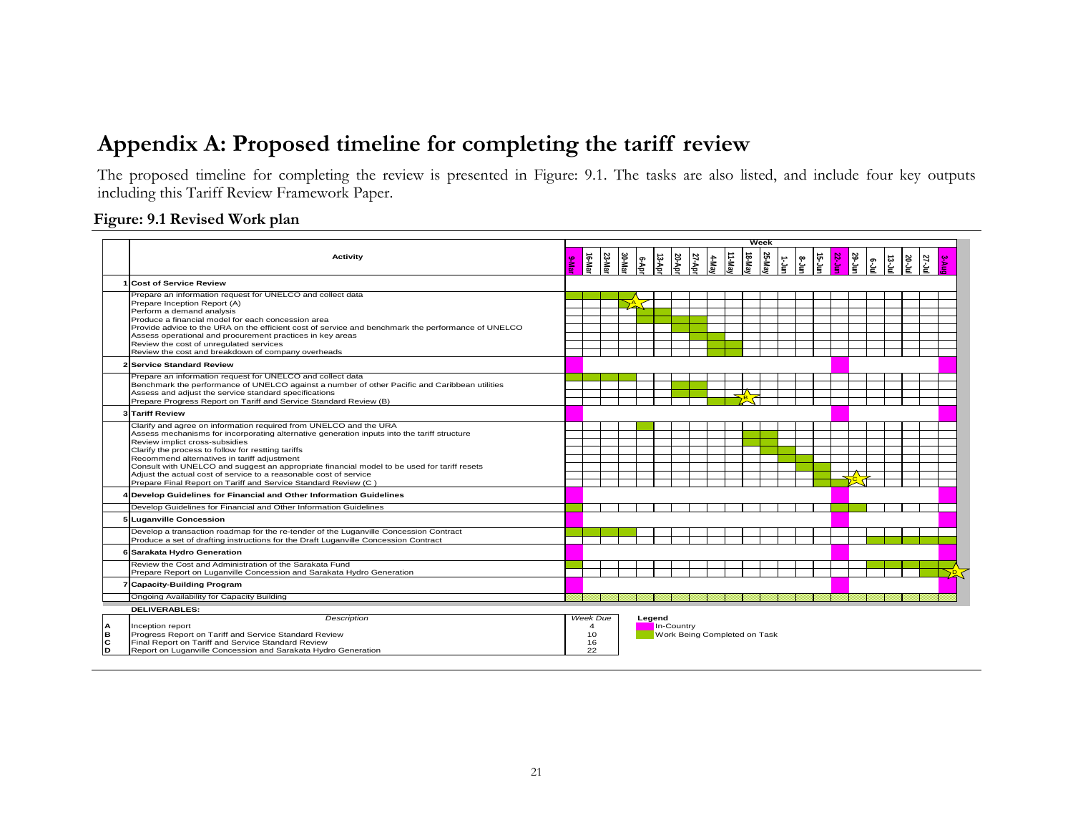## **Appendix A: Proposed timeline for completing the tariff review**

The proposed timeline for completing the review is presented in [Figure: 9.1.](#page-20-1) The tasks are also listed, and include four key outputs including this Tariff Review Framework Paper.

#### <span id="page-20-1"></span>**Figure: 9.1 Revised Work plan**

<span id="page-20-0"></span>

|                   |                                                                                                                                                                                                                                                                                                                                                                                                                                                                                                                                               |                                              |       |       | <b>Week</b> |            |                                                      |       |       |                         |        |        |                     |              |               |        |        |     |      |              |              |  |
|-------------------|-----------------------------------------------------------------------------------------------------------------------------------------------------------------------------------------------------------------------------------------------------------------------------------------------------------------------------------------------------------------------------------------------------------------------------------------------------------------------------------------------------------------------------------------------|----------------------------------------------|-------|-------|-------------|------------|------------------------------------------------------|-------|-------|-------------------------|--------|--------|---------------------|--------------|---------------|--------|--------|-----|------|--------------|--------------|--|
|                   | Activity                                                                                                                                                                                                                                                                                                                                                                                                                                                                                                                                      | 9-Ma                                         | 16-Ma | 23-Ma | 30-Ma       | $e^{4\pi}$ | ାଧ୍ୟୁ                                                | 20-Ap | 27-Ap | $\frac{4-\text{Ma}}{2}$ | 11-May | 18-May | 25-May<br>$\vec{r}$ | ।<br>।≗<br>। | $\frac{1}{2}$ | 22-Jul | 29-Jur | င့် | uارج | <b>20-Ju</b> | <b>27-Ju</b> |  |
|                   | <b>Cost of Service Review</b>                                                                                                                                                                                                                                                                                                                                                                                                                                                                                                                 |                                              |       |       |             |            |                                                      |       |       |                         |        |        |                     |              |               |        |        |     |      |              |              |  |
|                   | Prepare an information request for UNELCO and collect data<br>Prepare Inception Report (A)<br>Perform a demand analysis<br>Produce a financial model for each concession area<br>Provide advice to the URA on the efficient cost of service and benchmark the performance of UNELCO<br>Assess operational and procurement practices in key areas<br>Review the cost of unregulated services<br>Review the cost and breakdown of company overheads                                                                                             |                                              |       |       |             |            |                                                      |       |       |                         |        |        |                     |              |               |        |        |     |      |              |              |  |
|                   | 2 Service Standard Review                                                                                                                                                                                                                                                                                                                                                                                                                                                                                                                     |                                              |       |       |             |            |                                                      |       |       |                         |        |        |                     |              |               |        |        |     |      |              |              |  |
|                   | Prepare an information request for UNELCO and collect data<br>Benchmark the performance of UNELCO against a number of other Pacific and Caribbean utilities<br>Assess and adjust the service standard specifications<br>Prepare Progress Report on Tariff and Service Standard Review (B)                                                                                                                                                                                                                                                     |                                              |       |       |             |            |                                                      |       |       |                         | –∆     |        |                     |              |               |        |        |     |      |              |              |  |
|                   | 3 Tariff Review                                                                                                                                                                                                                                                                                                                                                                                                                                                                                                                               |                                              |       |       |             |            |                                                      |       |       |                         |        |        |                     |              |               |        |        |     |      |              |              |  |
|                   | Clarify and agree on information required from UNELCO and the URA<br>Assess mechanisms for incorporating alternative generation inputs into the tariff structure<br>Review implict cross-subsidies<br>Clarify the process to follow for restting tariffs<br>Recommend alternatives in tariff adjustment<br>Consult with UNELCO and suggest an appropriate financial model to be used for tariff resets<br>Adjust the actual cost of service to a reasonable cost of service<br>Prepare Final Report on Tariff and Service Standard Review (C) |                                              |       |       |             |            |                                                      |       |       |                         |        |        |                     |              |               |        | TA 1   |     |      |              |              |  |
|                   | 4 Develop Guidelines for Financial and Other Information Guidelines                                                                                                                                                                                                                                                                                                                                                                                                                                                                           |                                              |       |       |             |            |                                                      |       |       |                         |        |        |                     |              |               |        |        |     |      |              |              |  |
|                   | Develop Guidelines for Financial and Other Information Guidelines                                                                                                                                                                                                                                                                                                                                                                                                                                                                             |                                              |       |       |             |            |                                                      |       |       |                         |        |        |                     |              |               |        |        |     |      |              |              |  |
|                   | 5 Luganville Concession                                                                                                                                                                                                                                                                                                                                                                                                                                                                                                                       |                                              |       |       |             |            |                                                      |       |       |                         |        |        |                     |              |               |        |        |     |      |              |              |  |
|                   | Develop a transaction roadmap for the re-tender of the Luganville Concession Contract<br>Produce a set of drafting instructions for the Draft Luganville Concession Contract                                                                                                                                                                                                                                                                                                                                                                  |                                              |       |       |             |            |                                                      |       |       |                         |        |        |                     |              |               |        |        |     |      |              |              |  |
|                   | 6 Sarakata Hydro Generation                                                                                                                                                                                                                                                                                                                                                                                                                                                                                                                   |                                              |       |       |             |            |                                                      |       |       |                         |        |        |                     |              |               |        |        |     |      |              |              |  |
|                   | Review the Cost and Administration of the Sarakata Fund<br>Prepare Report on Luganville Concession and Sarakata Hydro Generation                                                                                                                                                                                                                                                                                                                                                                                                              |                                              |       |       |             |            |                                                      |       |       |                         |        |        |                     |              |               |        |        |     |      |              |              |  |
|                   | 7 Capacity-Building Program                                                                                                                                                                                                                                                                                                                                                                                                                                                                                                                   |                                              |       |       |             |            |                                                      |       |       |                         |        |        |                     |              |               |        |        |     |      |              |              |  |
|                   | Ongoing Availability for Capacity Building                                                                                                                                                                                                                                                                                                                                                                                                                                                                                                    |                                              |       |       |             |            |                                                      |       |       |                         |        |        |                     |              |               |        |        |     |      |              |              |  |
| IΑ<br>l်ိုင<br> D | <b>DELIVERABLES:</b><br><b>Description</b><br>Inception report<br>Progress Report on Tariff and Service Standard Review<br>Final Report on Tariff and Service Standard Review<br>Report on Luganville Concession and Sarakata Hydro Generation                                                                                                                                                                                                                                                                                                | Week Due<br>$\overline{4}$<br>10<br>16<br>22 |       |       |             |            | Legend<br>In-Country<br>Work Being Completed on Task |       |       |                         |        |        |                     |              |               |        |        |     |      |              |              |  |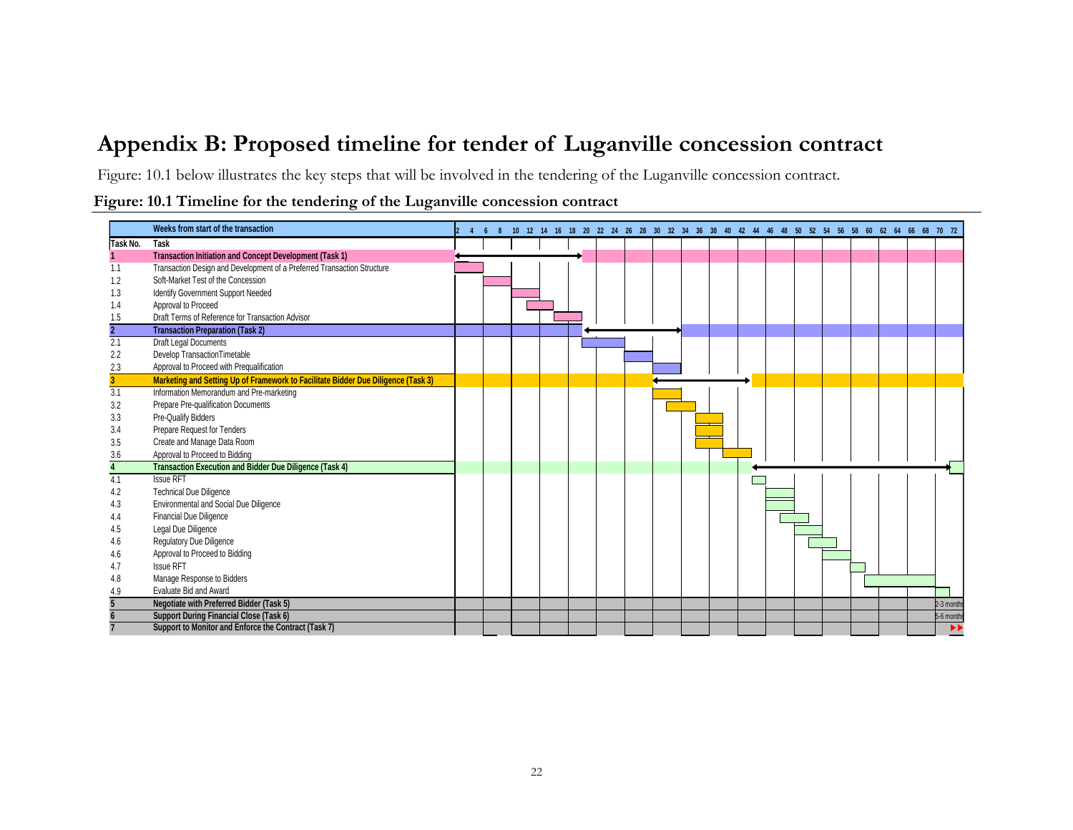### **Appendix B: Proposed timeline for tender of Luganville concession contract**

[Figure: 10.1](#page-21-1) below illustrates the key steps that will be involved in the tendering of the Luganville concession contract.

<span id="page-21-1"></span>

|  |  |  | Figure: 10.1 Timeline for the tendering of the Luganville concession contract |  |
|--|--|--|-------------------------------------------------------------------------------|--|
|  |  |  |                                                                               |  |

<span id="page-21-0"></span>